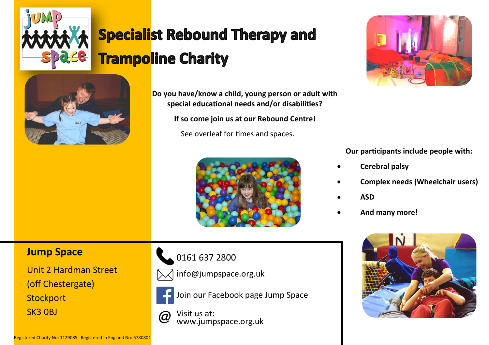

# **Specialist Rebound Therapy and Trampoline Charity**



**Do you have/know a child, young person or adult with special educational needs and/or disabilities?**

**If so come join us at our Rebound Centre!**

See overleaf for times and spaces.



**Our participants include people with:**

- **Cerebral palsy**
- **Complex needs (Wheelchair users)**
- **ASD**
- **And many more!**



### **Jump Space**

Unit 2 Hardman Street (off Chestergate) **Stockport** SK3 0BJ







Join our Facebook page Jump Space

Visit us at: (a www.jumpspace.org.uk